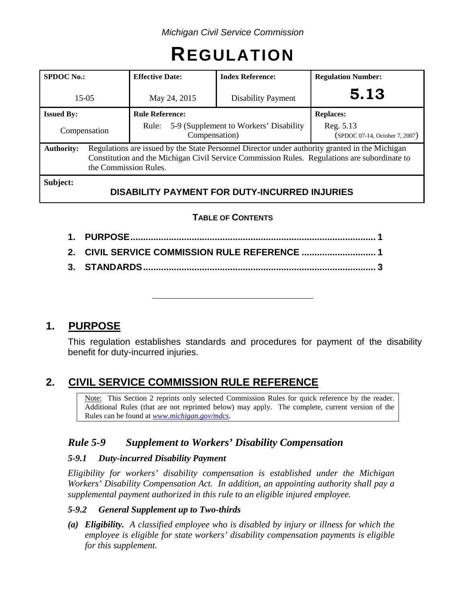# **REGULATION**

| <b>SPDOC No.:</b>                                                                                                                                                                                                                            | <b>Effective Date:</b>                                           | <b>Index Reference:</b> | <b>Regulation Number:</b>                   |  |  |  |
|----------------------------------------------------------------------------------------------------------------------------------------------------------------------------------------------------------------------------------------------|------------------------------------------------------------------|-------------------------|---------------------------------------------|--|--|--|
| $15 - 05$                                                                                                                                                                                                                                    | May 24, 2015<br><b>Disability Payment</b>                        |                         | 5.13                                        |  |  |  |
| <b>Issued By:</b>                                                                                                                                                                                                                            | <b>Rule Reference:</b>                                           |                         | <b>Replaces:</b>                            |  |  |  |
| Compensation                                                                                                                                                                                                                                 | 5-9 (Supplement to Workers' Disability<br>Rule:<br>Compensation) |                         | Reg. 5.13<br>(SPDOC 07-14, October 7, 2007) |  |  |  |
| Regulations are issued by the State Personnel Director under authority granted in the Michigan<br><b>Authority:</b><br>Constitution and the Michigan Civil Service Commission Rules. Regulations are subordinate to<br>the Commission Rules. |                                                                  |                         |                                             |  |  |  |
| Subject:<br><b>DISABILITY PAYMENT FOR DUTY-INCURRED INJURIES</b>                                                                                                                                                                             |                                                                  |                         |                                             |  |  |  |

## **TABLE OF CONTENTS**

# **1. PURPOSE**

This regulation establishes standards and procedures for payment of the disability benefit for duty-incurred injuries.

# **2. CIVIL SERVICE COMMISSION RULE REFERENCE**

Note: This Section 2 reprints only selected Commission Rules for quick reference by the reader. Additional Rules (that are not reprinted below) may apply. The complete, current version of the Rules can be found at *[www.michigan.gov/mdcs](http://www.michigan.gov/mdcs)*.

## *Rule 5-9 Supplement to Workers' Disability Compensation*

## *5-9.1 Duty-incurred Disability Payment*

*Eligibility for workers' disability compensation is established under the Michigan Workers' Disability Compensation Act. In addition, an appointing authority shall pay a supplemental payment authorized in this rule to an eligible injured employee.*

## *5-9.2 General Supplement up to Two-thirds*

*(a) Eligibility. A classified employee who is disabled by injury or illness for which the employee is eligible for state workers' disability compensation payments is eligible for this supplement.*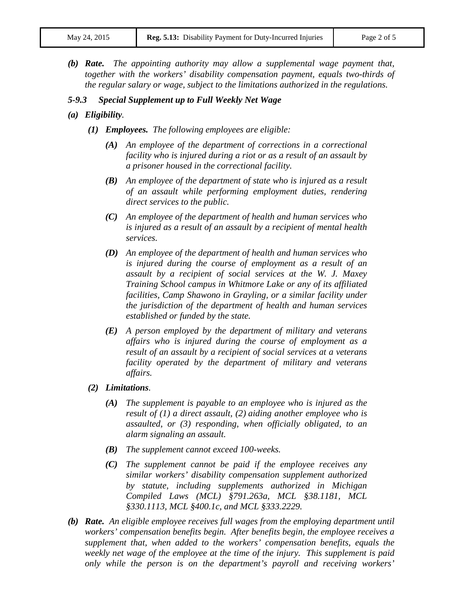*(b) Rate. The appointing authority may allow a supplemental wage payment that, together with the workers' disability compensation payment, equals two-thirds of the regular salary or wage, subject to the limitations authorized in the regulations.*

#### *5-9.3 Special Supplement up to Full Weekly Net Wage*

- *(a) Eligibility.*
	- *(1) Employees. The following employees are eligible:*
		- *(A) An employee of the department of corrections in a correctional facility who is injured during a riot or as a result of an assault by a prisoner housed in the correctional facility.*
		- *(B) An employee of the department of state who is injured as a result of an assault while performing employment duties, rendering direct services to the public.*
		- *(C) An employee of the department of health and human services who is injured as a result of an assault by a recipient of mental health services.*
		- *(D) An employee of the department of health and human services who is injured during the course of employment as a result of an assault by a recipient of social services at the W. J. Maxey Training School campus in Whitmore Lake or any of its affiliated facilities, Camp Shawono in Grayling, or a similar facility under the jurisdiction of the department of health and human services established or funded by the state.*
		- *(E) A person employed by the department of military and veterans affairs who is injured during the course of employment as a result of an assault by a recipient of social services at a veterans facility operated by the department of military and veterans affairs.*
	- *(2) Limitations.*
		- *(A) The supplement is payable to an employee who is injured as the result of (1) a direct assault, (2) aiding another employee who is assaulted, or (3) responding, when officially obligated, to an alarm signaling an assault.*
		- *(B) The supplement cannot exceed 100-weeks.*
		- *(C) The supplement cannot be paid if the employee receives any similar workers' disability compensation supplement authorized by statute, including supplements authorized in Michigan Compiled Laws (MCL) §791.263a, MCL §38.1181, MCL §330.1113, MCL §400.1c, and MCL §333.2229.*
- *(b) Rate. An eligible employee receives full wages from the employing department until workers' compensation benefits begin. After benefits begin, the employee receives a supplement that, when added to the workers' compensation benefits, equals the weekly net wage of the employee at the time of the injury. This supplement is paid only while the person is on the department's payroll and receiving workers'*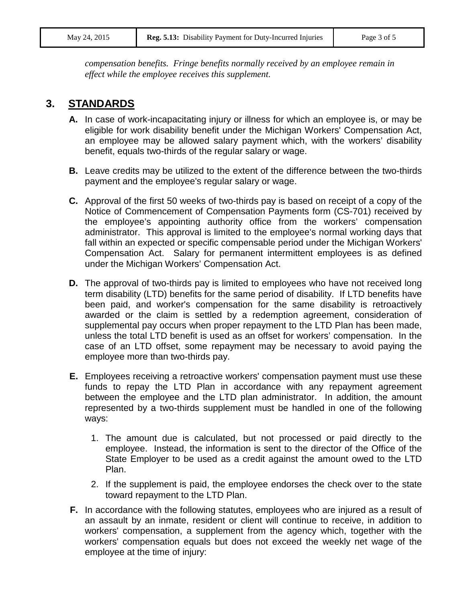*compensation benefits. Fringe benefits normally received by an employee remain in effect while the employee receives this supplement.*

# **3. STANDARDS**

- **A.** In case of work-incapacitating injury or illness for which an employee is, or may be eligible for work disability benefit under the Michigan Workers' Compensation Act, an employee may be allowed salary payment which, with the workers' disability benefit, equals two-thirds of the regular salary or wage.
- **B.** Leave credits may be utilized to the extent of the difference between the two-thirds payment and the employee's regular salary or wage.
- **C.** Approval of the first 50 weeks of two-thirds pay is based on receipt of a copy of the Notice of Commencement of Compensation Payments form (CS-701) received by the employee's appointing authority office from the workers' compensation administrator. This approval is limited to the employee's normal working days that fall within an expected or specific compensable period under the Michigan Workers' Compensation Act. Salary for permanent intermittent employees is as defined under the Michigan Workers' Compensation Act.
- **D.** The approval of two-thirds pay is limited to employees who have not received long term disability (LTD) benefits for the same period of disability. If LTD benefits have been paid, and worker's compensation for the same disability is retroactively awarded or the claim is settled by a redemption agreement, consideration of supplemental pay occurs when proper repayment to the LTD Plan has been made, unless the total LTD benefit is used as an offset for workers' compensation. In the case of an LTD offset, some repayment may be necessary to avoid paying the employee more than two-thirds pay.
- **E.** Employees receiving a retroactive workers' compensation payment must use these funds to repay the LTD Plan in accordance with any repayment agreement between the employee and the LTD plan administrator. In addition, the amount represented by a two-thirds supplement must be handled in one of the following ways:
	- 1. The amount due is calculated, but not processed or paid directly to the employee. Instead, the information is sent to the director of the Office of the State Employer to be used as a credit against the amount owed to the LTD Plan.
	- 2. If the supplement is paid, the employee endorses the check over to the state toward repayment to the LTD Plan.
- **F.** In accordance with the following statutes, employees who are injured as a result of an assault by an inmate, resident or client will continue to receive, in addition to workers' compensation, a supplement from the agency which, together with the workers' compensation equals but does not exceed the weekly net wage of the employee at the time of injury: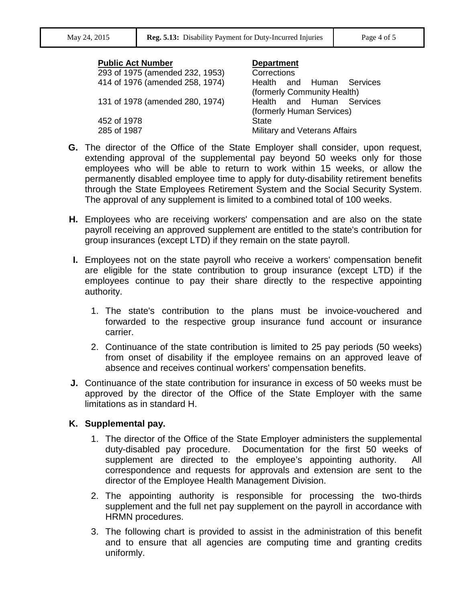#### **Public Act Number Department** 293 of 1975 (amended 232, 1953) Corrections 414 of 1976 (amended 258, 1974) Health and Human Services (formerly Community Health) 131 of 1978 (amended 280, 1974) Health and Human Services (formerly Human Services) 452 of 1978 State 285 of 1987 Military and Veterans Affairs

- **G.** The director of the Office of the State Employer shall consider, upon request, extending approval of the supplemental pay beyond 50 weeks only for those employees who will be able to return to work within 15 weeks, or allow the permanently disabled employee time to apply for duty-disability retirement benefits through the State Employees Retirement System and the Social Security System. The approval of any supplement is limited to a combined total of 100 weeks.
- **H.** Employees who are receiving workers' compensation and are also on the state payroll receiving an approved supplement are entitled to the state's contribution for group insurances (except LTD) if they remain on the state payroll.
- **I.** Employees not on the state payroll who receive a workers' compensation benefit are eligible for the state contribution to group insurance (except LTD) if the employees continue to pay their share directly to the respective appointing authority.
	- 1. The state's contribution to the plans must be invoice-vouchered and forwarded to the respective group insurance fund account or insurance carrier.
	- 2. Continuance of the state contribution is limited to 25 pay periods (50 weeks) from onset of disability if the employee remains on an approved leave of absence and receives continual workers' compensation benefits.
- **J.** Continuance of the state contribution for insurance in excess of 50 weeks must be approved by the director of the Office of the State Employer with the same limitations as in standard H.

#### **K. Supplemental pay.**

- 1. The director of the Office of the State Employer administers the supplemental duty-disabled pay procedure. Documentation for the first 50 weeks of supplement are directed to the employee's appointing authority. All correspondence and requests for approvals and extension are sent to the director of the Employee Health Management Division.
- 2. The appointing authority is responsible for processing the two-thirds supplement and the full net pay supplement on the payroll in accordance with HRMN procedures.
- 3. The following chart is provided to assist in the administration of this benefit and to ensure that all agencies are computing time and granting credits uniformly.